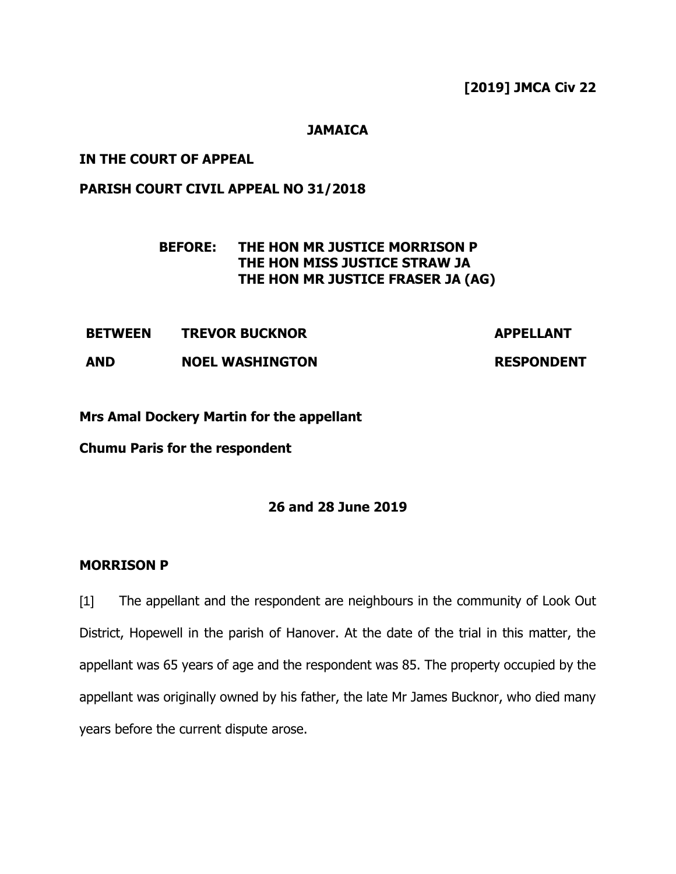**[2019] JMCA Civ 22**

## **JAMAICA**

## **IN THE COURT OF APPEAL**

# **PARISH COURT CIVIL APPEAL NO 31/2018**

# **BEFORE: THE HON MR JUSTICE MORRISON P THE HON MISS JUSTICE STRAW JA THE HON MR JUSTICE FRASER JA (AG)**

**BETWEEN TREVOR BUCKNOR APPELLANT** 

**AND NOEL WASHINGTON RESPONDENT**

**Mrs Amal Dockery Martin for the appellant**

**Chumu Paris for the respondent**

# **26 and 28 June 2019**

#### **MORRISON P**

[1] The appellant and the respondent are neighbours in the community of Look Out District, Hopewell in the parish of Hanover. At the date of the trial in this matter, the appellant was 65 years of age and the respondent was 85. The property occupied by the appellant was originally owned by his father, the late Mr James Bucknor, who died many years before the current dispute arose.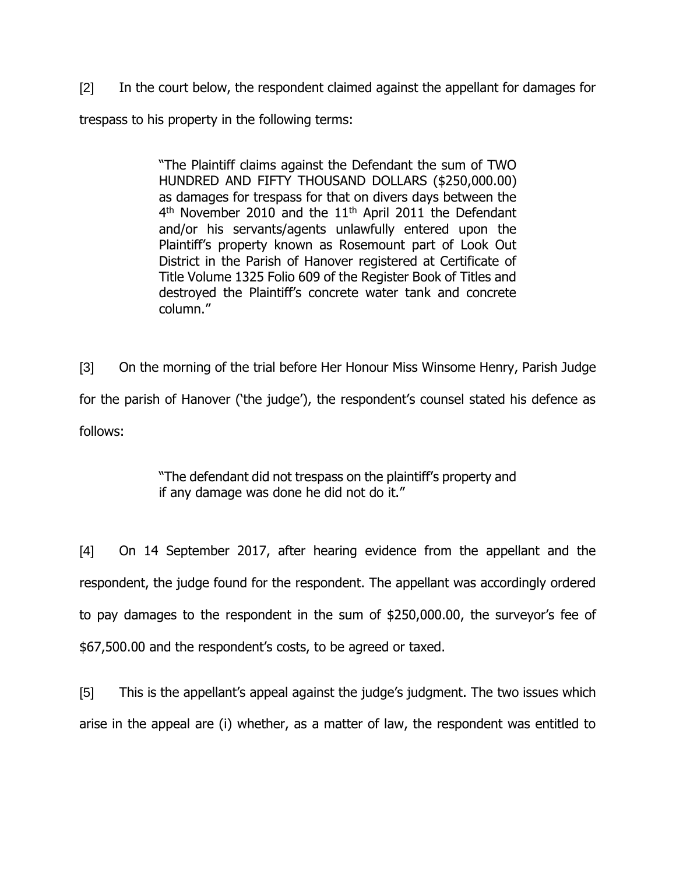[2] In the court below, the respondent claimed against the appellant for damages for trespass to his property in the following terms:

> "The Plaintiff claims against the Defendant the sum of TWO HUNDRED AND FIFTY THOUSAND DOLLARS (\$250,000.00) as damages for trespass for that on divers days between the 4<sup>th</sup> November 2010 and the 11<sup>th</sup> April 2011 the Defendant and/or his servants/agents unlawfully entered upon the Plaintiff's property known as Rosemount part of Look Out District in the Parish of Hanover registered at Certificate of Title Volume 1325 Folio 609 of the Register Book of Titles and destroyed the Plaintiff's concrete water tank and concrete column."

[3] On the morning of the trial before Her Honour Miss Winsome Henry, Parish Judge for the parish of Hanover ('the judge'), the respondent's counsel stated his defence as follows:

> "The defendant did not trespass on the plaintiff's property and if any damage was done he did not do it."

[4] On 14 September 2017, after hearing evidence from the appellant and the respondent, the judge found for the respondent. The appellant was accordingly ordered to pay damages to the respondent in the sum of \$250,000.00, the surveyor's fee of \$67,500.00 and the respondent's costs, to be agreed or taxed.

[5] This is the appellant's appeal against the judge's judgment. The two issues which arise in the appeal are (i) whether, as a matter of law, the respondent was entitled to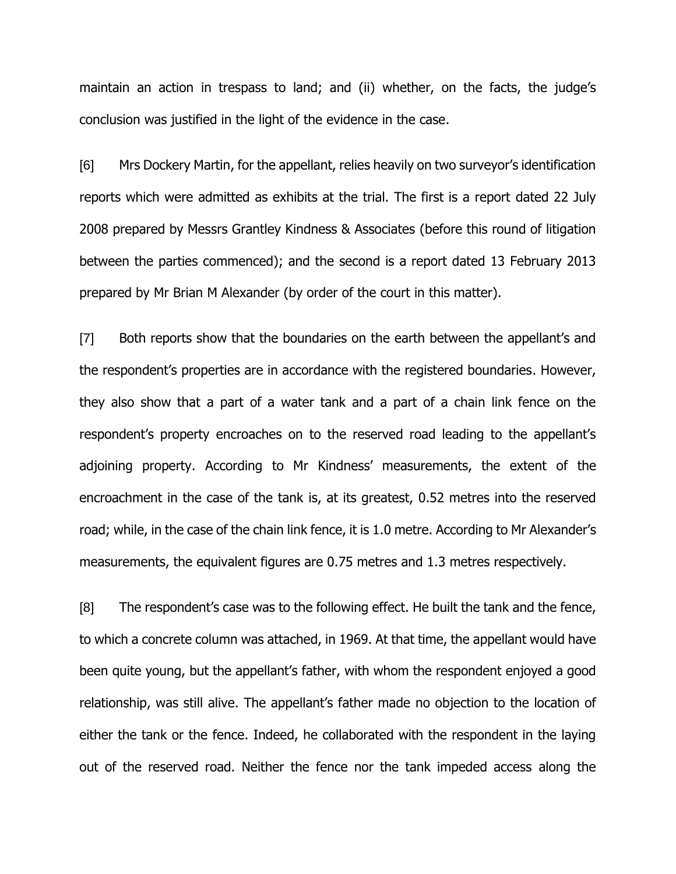maintain an action in trespass to land; and (ii) whether, on the facts, the judge's conclusion was justified in the light of the evidence in the case.

[6] Mrs Dockery Martin, for the appellant, relies heavily on two surveyor's identification reports which were admitted as exhibits at the trial. The first is a report dated 22 July 2008 prepared by Messrs Grantley Kindness & Associates (before this round of litigation between the parties commenced); and the second is a report dated 13 February 2013 prepared by Mr Brian M Alexander (by order of the court in this matter).

[7] Both reports show that the boundaries on the earth between the appellant's and the respondent's properties are in accordance with the registered boundaries. However, they also show that a part of a water tank and a part of a chain link fence on the respondent's property encroaches on to the reserved road leading to the appellant's adjoining property. According to Mr Kindness' measurements, the extent of the encroachment in the case of the tank is, at its greatest, 0.52 metres into the reserved road; while, in the case of the chain link fence, it is 1.0 metre. According to Mr Alexander's measurements, the equivalent figures are 0.75 metres and 1.3 metres respectively.

[8] The respondent's case was to the following effect. He built the tank and the fence, to which a concrete column was attached, in 1969. At that time, the appellant would have been quite young, but the appellant's father, with whom the respondent enjoyed a good relationship, was still alive. The appellant's father made no objection to the location of either the tank or the fence. Indeed, he collaborated with the respondent in the laying out of the reserved road. Neither the fence nor the tank impeded access along the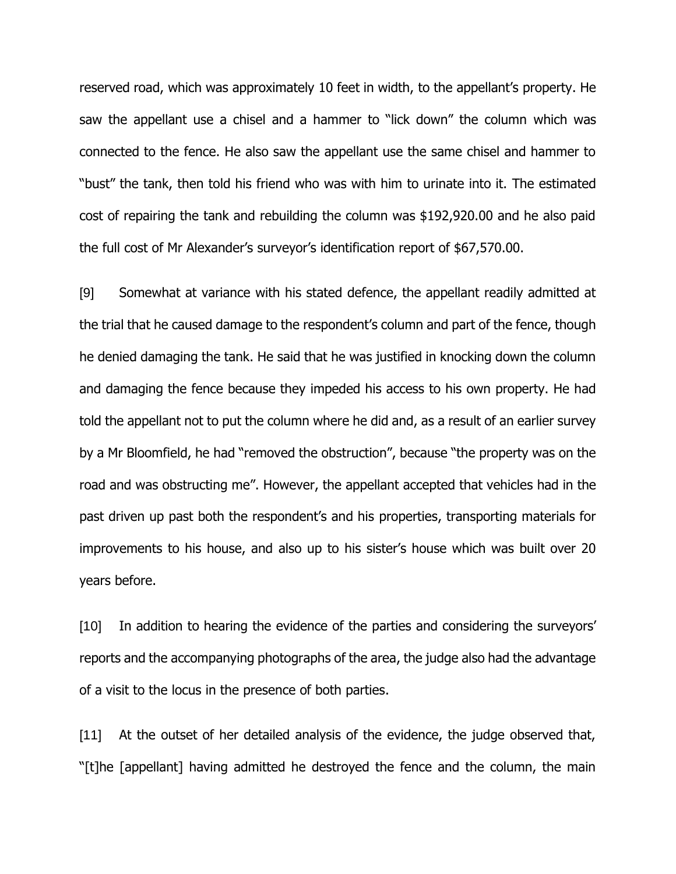reserved road, which was approximately 10 feet in width, to the appellant's property. He saw the appellant use a chisel and a hammer to "lick down" the column which was connected to the fence. He also saw the appellant use the same chisel and hammer to "bust" the tank, then told his friend who was with him to urinate into it. The estimated cost of repairing the tank and rebuilding the column was \$192,920.00 and he also paid the full cost of Mr Alexander's surveyor's identification report of \$67,570.00.

[9] Somewhat at variance with his stated defence, the appellant readily admitted at the trial that he caused damage to the respondent's column and part of the fence, though he denied damaging the tank. He said that he was justified in knocking down the column and damaging the fence because they impeded his access to his own property. He had told the appellant not to put the column where he did and, as a result of an earlier survey by a Mr Bloomfield, he had "removed the obstruction", because "the property was on the road and was obstructing me". However, the appellant accepted that vehicles had in the past driven up past both the respondent's and his properties, transporting materials for improvements to his house, and also up to his sister's house which was built over 20 years before.

[10] In addition to hearing the evidence of the parties and considering the surveyors' reports and the accompanying photographs of the area, the judge also had the advantage of a visit to the locus in the presence of both parties.

[11] At the outset of her detailed analysis of the evidence, the judge observed that, "[t]he [appellant] having admitted he destroyed the fence and the column, the main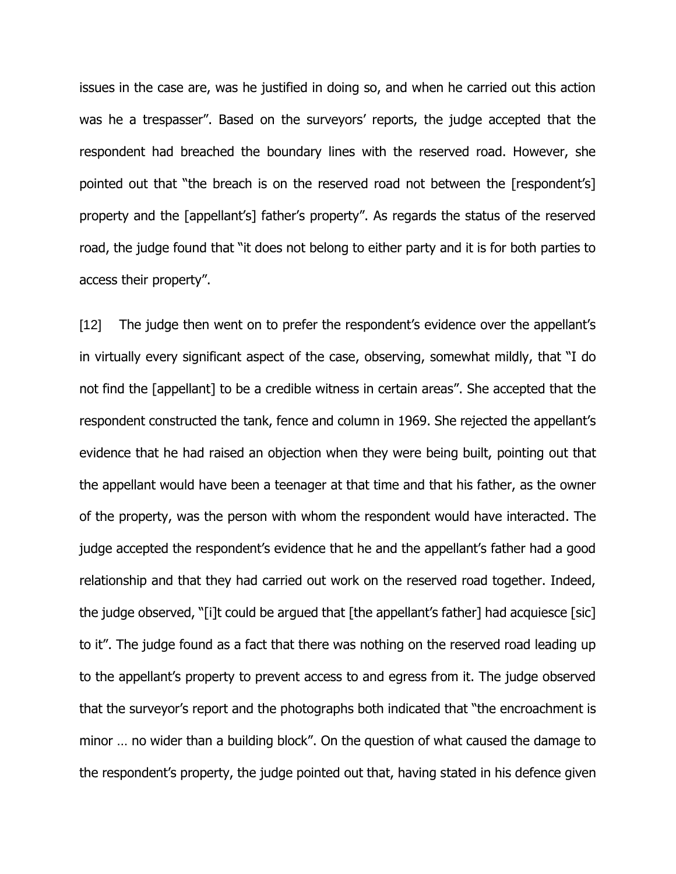issues in the case are, was he justified in doing so, and when he carried out this action was he a trespasser". Based on the surveyors' reports, the judge accepted that the respondent had breached the boundary lines with the reserved road. However, she pointed out that "the breach is on the reserved road not between the [respondent's] property and the [appellant's] father's property". As regards the status of the reserved road, the judge found that "it does not belong to either party and it is for both parties to access their property".

[12] The judge then went on to prefer the respondent's evidence over the appellant's in virtually every significant aspect of the case, observing, somewhat mildly, that "I do not find the [appellant] to be a credible witness in certain areas". She accepted that the respondent constructed the tank, fence and column in 1969. She rejected the appellant's evidence that he had raised an objection when they were being built, pointing out that the appellant would have been a teenager at that time and that his father, as the owner of the property, was the person with whom the respondent would have interacted. The judge accepted the respondent's evidence that he and the appellant's father had a good relationship and that they had carried out work on the reserved road together. Indeed, the judge observed, "[i]t could be argued that [the appellant's father] had acquiesce [sic] to it". The judge found as a fact that there was nothing on the reserved road leading up to the appellant's property to prevent access to and egress from it. The judge observed that the surveyor's report and the photographs both indicated that "the encroachment is minor … no wider than a building block". On the question of what caused the damage to the respondent's property, the judge pointed out that, having stated in his defence given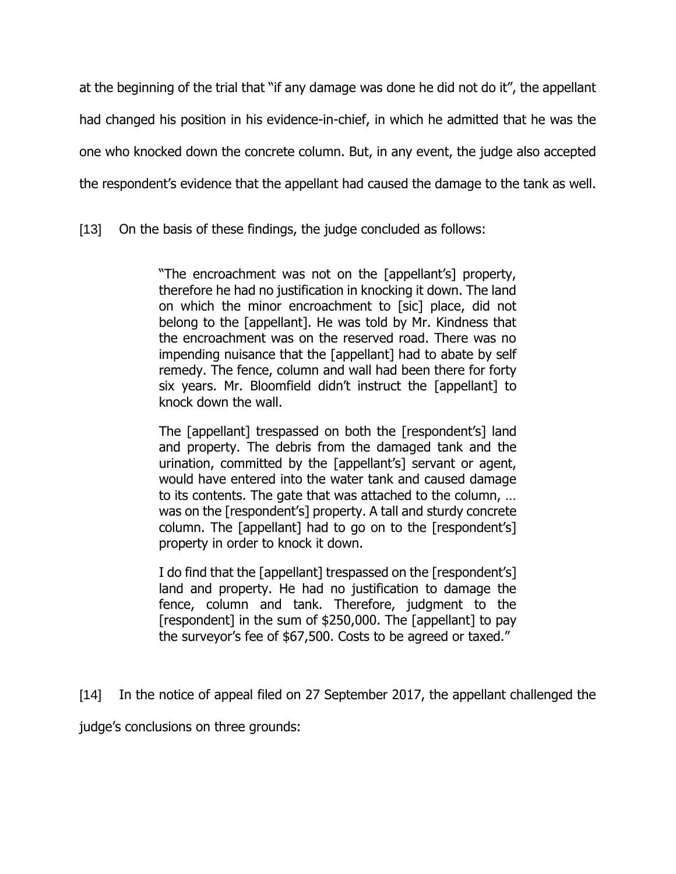at the beginning of the trial that "if any damage was done he did not do it", the appellant had changed his position in his evidence-in-chief, in which he admitted that he was the one who knocked down the concrete column. But, in any event, the judge also accepted the respondent's evidence that the appellant had caused the damage to the tank as well.

[13] On the basis of these findings, the judge concluded as follows:

"The encroachment was not on the [appellant's] property, therefore he had no justification in knocking it down. The land on which the minor encroachment to [sic] place, did not belong to the [appellant]. He was told by Mr. Kindness that the encroachment was on the reserved road. There was no impending nuisance that the [appellant] had to abate by self remedy. The fence, column and wall had been there for forty six years. Mr. Bloomfield didn't instruct the [appellant] to knock down the wall.

The [appellant] trespassed on both the [respondent's] land and property. The debris from the damaged tank and the urination, committed by the [appellant's] servant or agent, would have entered into the water tank and caused damage to its contents. The gate that was attached to the column, … was on the [respondent's] property. A tall and sturdy concrete column. The [appellant] had to go on to the [respondent's] property in order to knock it down.

I do find that the [appellant] trespassed on the [respondent's] land and property. He had no justification to damage the fence, column and tank. Therefore, judgment to the [respondent] in the sum of \$250,000. The [appellant] to pay the surveyor's fee of \$67,500. Costs to be agreed or taxed."

[14] In the notice of appeal filed on 27 September 2017, the appellant challenged the

judge's conclusions on three grounds: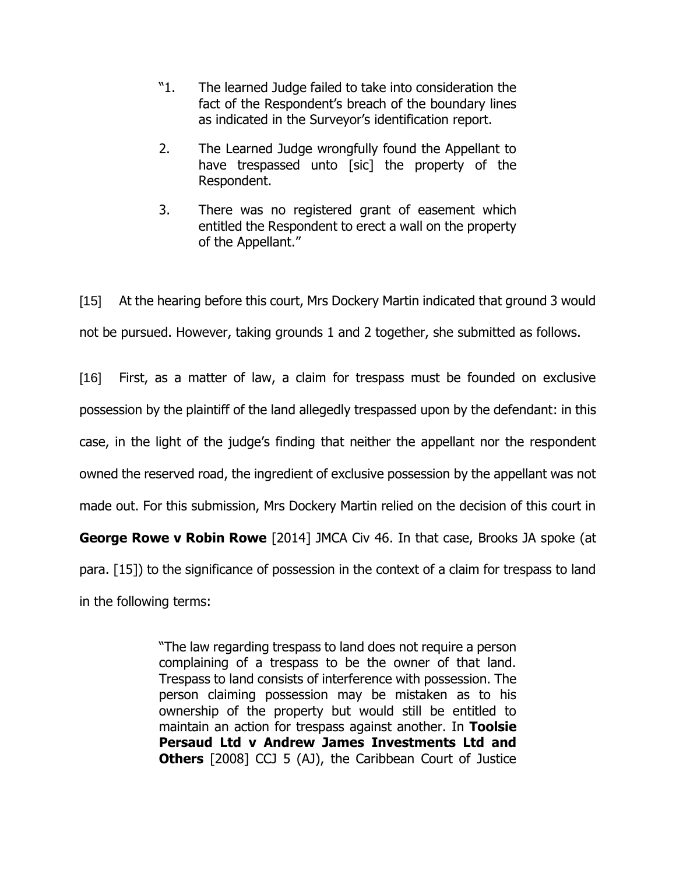- "1. The learned Judge failed to take into consideration the fact of the Respondent's breach of the boundary lines as indicated in the Surveyor's identification report.
- 2. The Learned Judge wrongfully found the Appellant to have trespassed unto [sic] the property of the Respondent.
- 3. There was no registered grant of easement which entitled the Respondent to erect a wall on the property of the Appellant."

[15] At the hearing before this court, Mrs Dockery Martin indicated that ground 3 would not be pursued. However, taking grounds 1 and 2 together, she submitted as follows.

[16] First, as a matter of law, a claim for trespass must be founded on exclusive possession by the plaintiff of the land allegedly trespassed upon by the defendant: in this case, in the light of the judge's finding that neither the appellant nor the respondent owned the reserved road, the ingredient of exclusive possession by the appellant was not made out. For this submission, Mrs Dockery Martin relied on the decision of this court in **George Rowe v Robin Rowe** [2014] JMCA Civ 46. In that case, Brooks JA spoke (at para. [15]) to the significance of possession in the context of a claim for trespass to land in the following terms:

> "The law regarding trespass to land does not require a person complaining of a trespass to be the owner of that land. Trespass to land consists of interference with possession. The person claiming possession may be mistaken as to his ownership of the property but would still be entitled to maintain an action for trespass against another. In **Toolsie Persaud Ltd v Andrew James Investments Ltd and Others** [2008] CCJ 5 (AJ), the Caribbean Court of Justice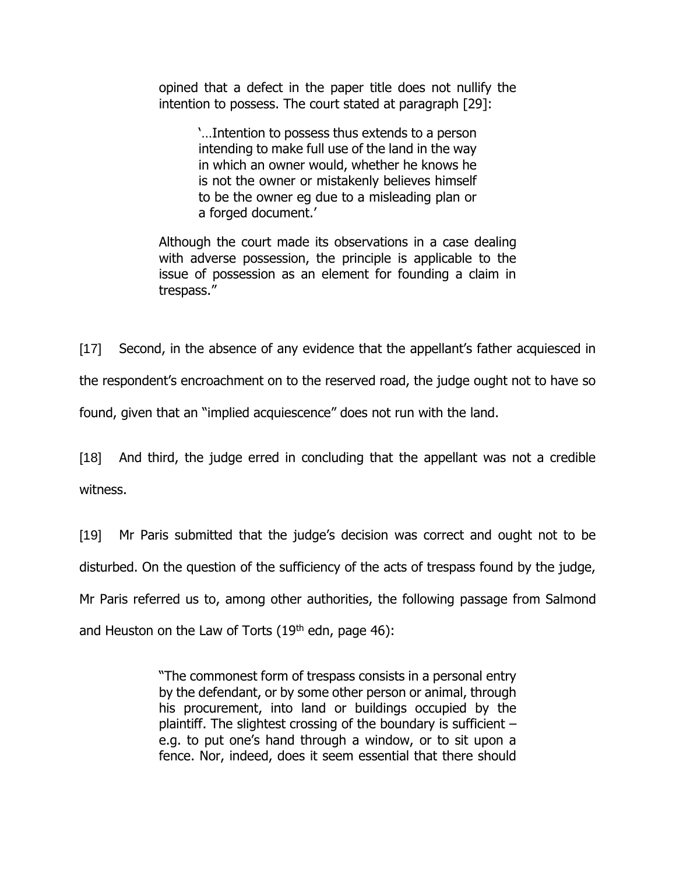opined that a defect in the paper title does not nullify the intention to possess. The court stated at paragraph [29]:

> '…Intention to possess thus extends to a person intending to make full use of the land in the way in which an owner would, whether he knows he is not the owner or mistakenly believes himself to be the owner eg due to a misleading plan or a forged document.'

Although the court made its observations in a case dealing with adverse possession, the principle is applicable to the issue of possession as an element for founding a claim in trespass."

[17] Second, in the absence of any evidence that the appellant's father acquiesced in the respondent's encroachment on to the reserved road, the judge ought not to have so found, given that an "implied acquiescence" does not run with the land.

[18] And third, the judge erred in concluding that the appellant was not a credible witness.

[19] Mr Paris submitted that the judge's decision was correct and ought not to be disturbed. On the question of the sufficiency of the acts of trespass found by the judge, Mr Paris referred us to, among other authorities, the following passage from Salmond and Heuston on the Law of Torts  $(19<sup>th</sup>$  edn, page 46):

> "The commonest form of trespass consists in a personal entry by the defendant, or by some other person or animal, through his procurement, into land or buildings occupied by the plaintiff. The slightest crossing of the boundary is sufficient – e.g. to put one's hand through a window, or to sit upon a fence. Nor, indeed, does it seem essential that there should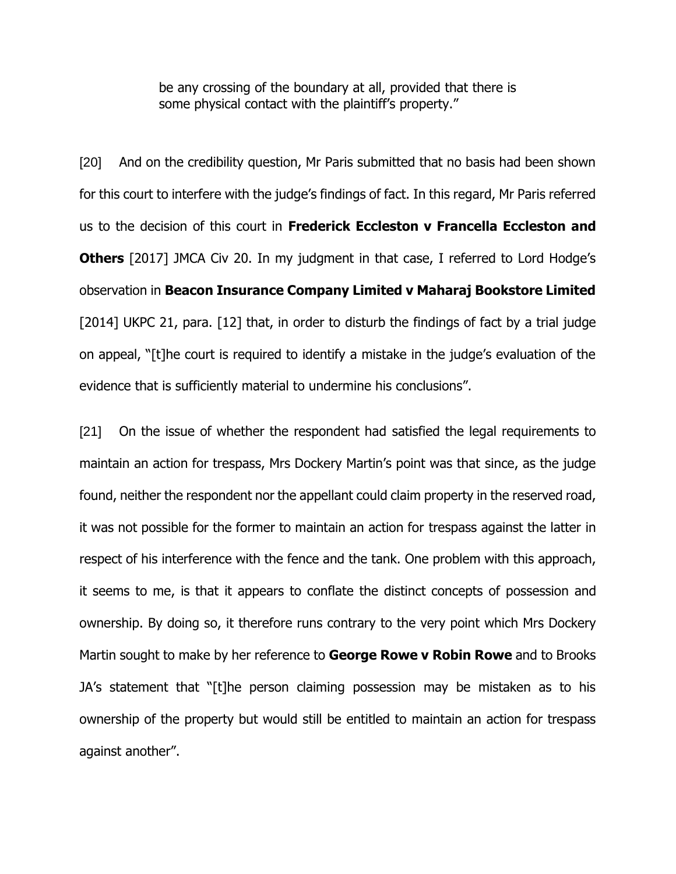be any crossing of the boundary at all, provided that there is some physical contact with the plaintiff's property."

[20] And on the credibility question, Mr Paris submitted that no basis had been shown for this court to interfere with the judge's findings of fact. In this regard, Mr Paris referred us to the decision of this court in **Frederick Eccleston v Francella Eccleston and Others** [2017] JMCA Civ 20. In my judgment in that case, I referred to Lord Hodge's observation in **Beacon Insurance Company Limited v Maharaj Bookstore Limited** [2014] UKPC 21, para. [12] that, in order to disturb the findings of fact by a trial judge on appeal, "[t]he court is required to identify a mistake in the judge's evaluation of the evidence that is sufficiently material to undermine his conclusions".

[21] On the issue of whether the respondent had satisfied the legal requirements to maintain an action for trespass, Mrs Dockery Martin's point was that since, as the judge found, neither the respondent nor the appellant could claim property in the reserved road, it was not possible for the former to maintain an action for trespass against the latter in respect of his interference with the fence and the tank. One problem with this approach, it seems to me, is that it appears to conflate the distinct concepts of possession and ownership. By doing so, it therefore runs contrary to the very point which Mrs Dockery Martin sought to make by her reference to **George Rowe v Robin Rowe** and to Brooks JA's statement that "[t]he person claiming possession may be mistaken as to his ownership of the property but would still be entitled to maintain an action for trespass against another".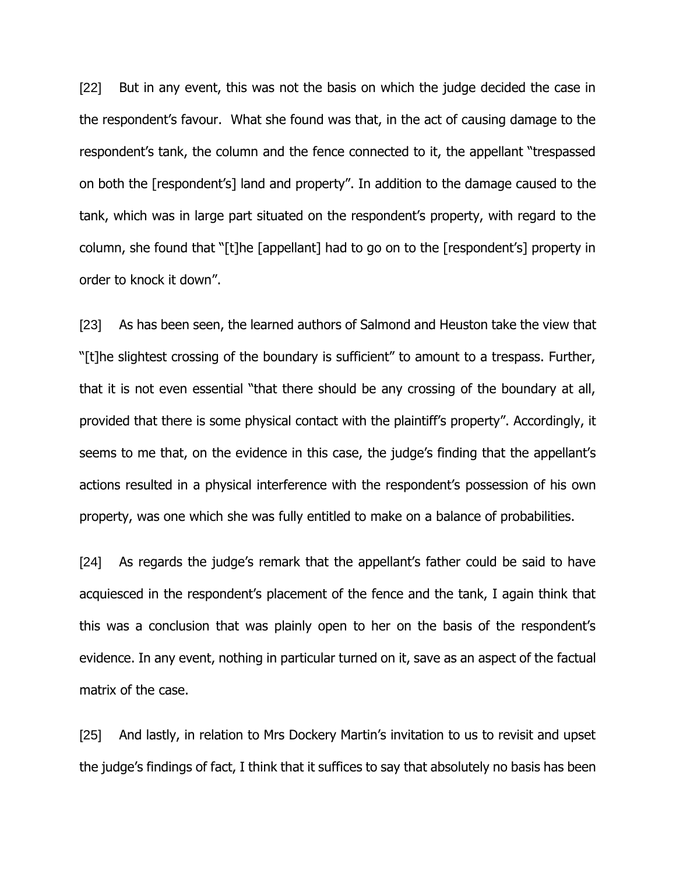[22] But in any event, this was not the basis on which the judge decided the case in the respondent's favour. What she found was that, in the act of causing damage to the respondent's tank, the column and the fence connected to it, the appellant "trespassed on both the [respondent's] land and property". In addition to the damage caused to the tank, which was in large part situated on the respondent's property, with regard to the column, she found that "[t]he [appellant] had to go on to the [respondent's] property in order to knock it down".

[23] As has been seen, the learned authors of Salmond and Heuston take the view that "[t]he slightest crossing of the boundary is sufficient" to amount to a trespass. Further, that it is not even essential "that there should be any crossing of the boundary at all, provided that there is some physical contact with the plaintiff's property". Accordingly, it seems to me that, on the evidence in this case, the judge's finding that the appellant's actions resulted in a physical interference with the respondent's possession of his own property, was one which she was fully entitled to make on a balance of probabilities.

[24] As regards the judge's remark that the appellant's father could be said to have acquiesced in the respondent's placement of the fence and the tank, I again think that this was a conclusion that was plainly open to her on the basis of the respondent's evidence. In any event, nothing in particular turned on it, save as an aspect of the factual matrix of the case.

[25] And lastly, in relation to Mrs Dockery Martin's invitation to us to revisit and upset the judge's findings of fact, I think that it suffices to say that absolutely no basis has been